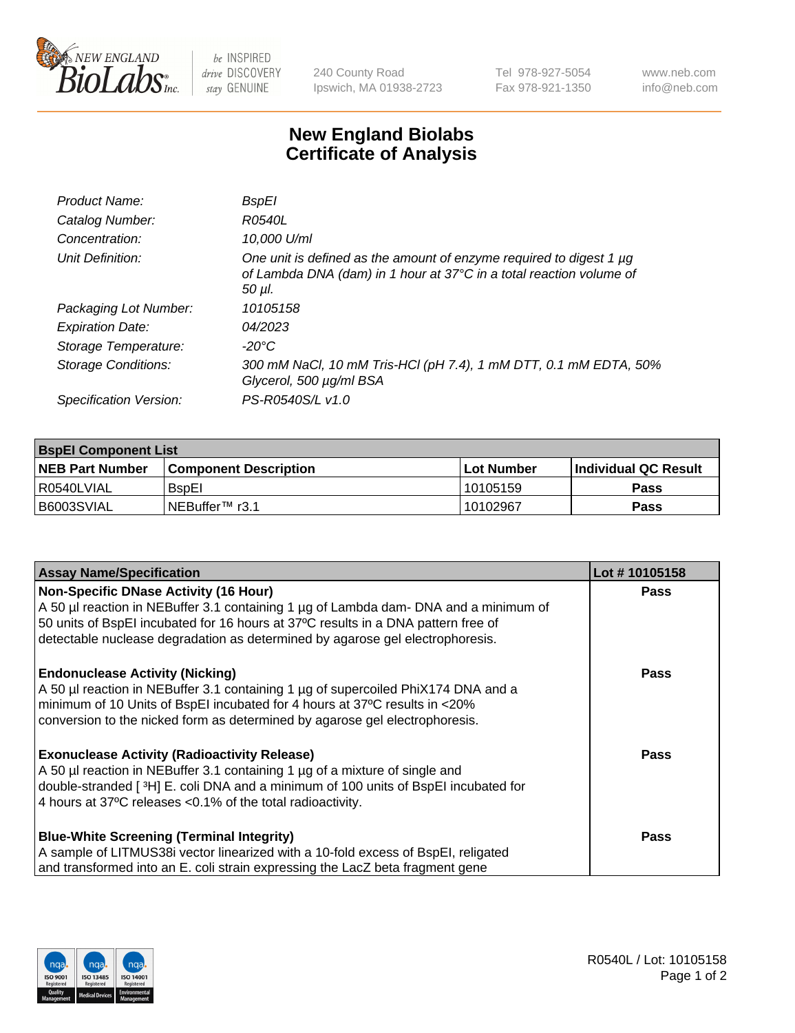

be INSPIRED drive DISCOVERY stay GENUINE

240 County Road Ipswich, MA 01938-2723 Tel 978-927-5054 Fax 978-921-1350 www.neb.com info@neb.com

## **New England Biolabs Certificate of Analysis**

| Product Name:           | BspEl                                                                                                                                                     |
|-------------------------|-----------------------------------------------------------------------------------------------------------------------------------------------------------|
| Catalog Number:         | R0540L                                                                                                                                                    |
| Concentration:          | 10.000 U/ml                                                                                                                                               |
| Unit Definition:        | One unit is defined as the amount of enzyme required to digest 1 $\mu$ g<br>of Lambda DNA (dam) in 1 hour at 37°C in a total reaction volume of<br>50 µI. |
| Packaging Lot Number:   | 10105158                                                                                                                                                  |
| <b>Expiration Date:</b> | 04/2023                                                                                                                                                   |
| Storage Temperature:    | -20°C                                                                                                                                                     |
| Storage Conditions:     | 300 mM NaCl, 10 mM Tris-HCl (pH 7.4), 1 mM DTT, 0.1 mM EDTA, 50%<br>Glycerol, 500 µg/ml BSA                                                               |
| Specification Version:  | PS-R0540S/L v1.0                                                                                                                                          |

| <b>BspEI Component List</b> |                              |             |                             |  |  |
|-----------------------------|------------------------------|-------------|-----------------------------|--|--|
| <b>NEB Part Number</b>      | <b>Component Description</b> | ⊺Lot Number | <b>Individual QC Result</b> |  |  |
| I R0540LVIAL                | <b>B</b> spEI                | 10105159    | Pass                        |  |  |
| I B6003SVIAL                | INEBuffer™ r3.1              | 10102967    | <b>Pass</b>                 |  |  |

| <b>Assay Name/Specification</b>                                                      | Lot #10105158 |
|--------------------------------------------------------------------------------------|---------------|
| <b>Non-Specific DNase Activity (16 Hour)</b>                                         | <b>Pass</b>   |
| A 50 µl reaction in NEBuffer 3.1 containing 1 µg of Lambda dam- DNA and a minimum of |               |
| 50 units of BspEI incubated for 16 hours at 37°C results in a DNA pattern free of    |               |
| detectable nuclease degradation as determined by agarose gel electrophoresis.        |               |
| <b>Endonuclease Activity (Nicking)</b>                                               | Pass          |
| A 50 µl reaction in NEBuffer 3.1 containing 1 µg of supercoiled PhiX174 DNA and a    |               |
| minimum of 10 Units of BspEI incubated for 4 hours at 37°C results in <20%           |               |
| conversion to the nicked form as determined by agarose gel electrophoresis.          |               |
| <b>Exonuclease Activity (Radioactivity Release)</b>                                  | Pass          |
| A 50 µl reaction in NEBuffer 3.1 containing 1 µg of a mixture of single and          |               |
| double-stranded [3H] E. coli DNA and a minimum of 100 units of BspEI incubated for   |               |
| 4 hours at 37°C releases <0.1% of the total radioactivity.                           |               |
| <b>Blue-White Screening (Terminal Integrity)</b>                                     | <b>Pass</b>   |
| A sample of LITMUS38i vector linearized with a 10-fold excess of BspEI, religated    |               |
| and transformed into an E. coli strain expressing the LacZ beta fragment gene        |               |